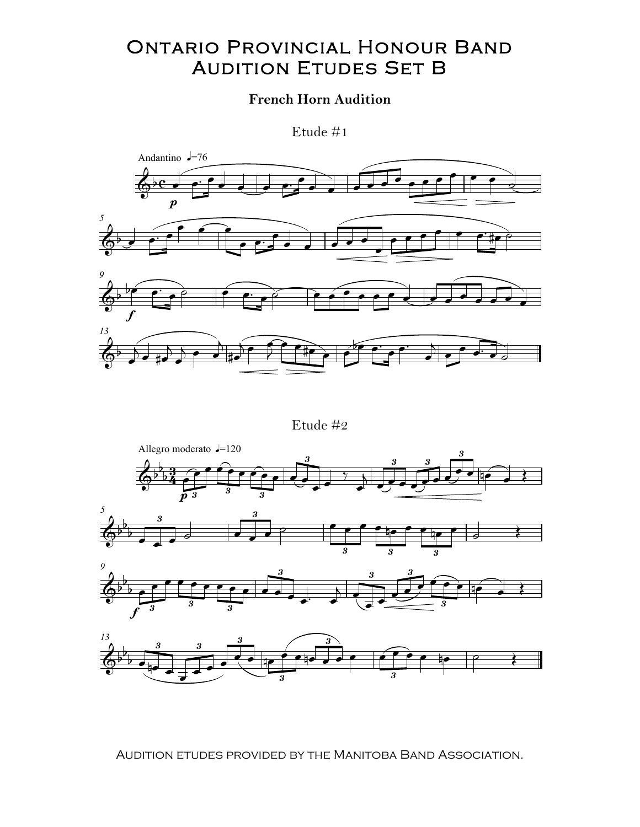## **ONTARIO PROVINCIAL HONOUR BAND AUDITION ETUDES SET B**

## **French Horn Audition**

Etude  $#1$ 



Etude  $#2$ 



AUDITION ETUDES PROVIDED BY THE MANITOBA BAND ASSOCIATION.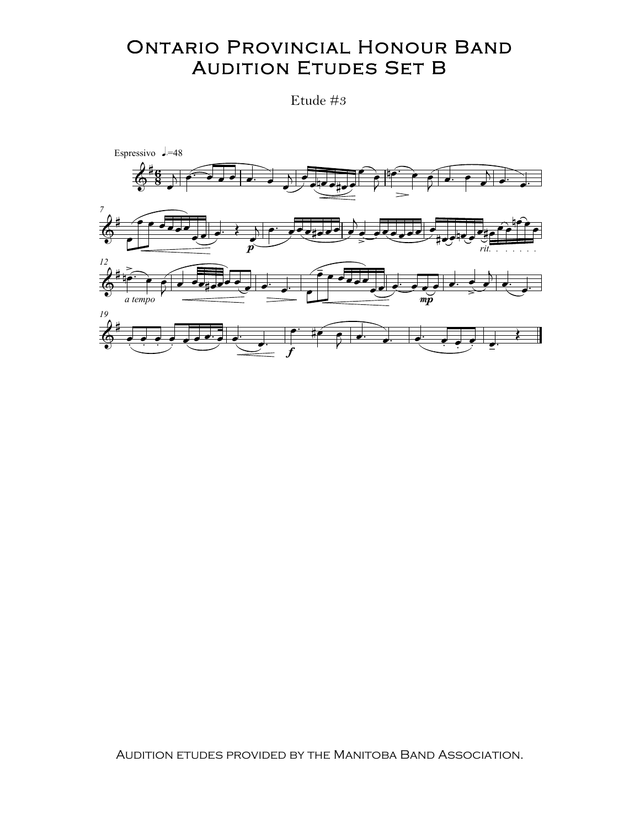## **ONTARIO PROVINCIAL HONOUR BAND AUDITION ETUDES SET B**

Etude #3



AUDITION ETUDES PROVIDED BY THE MANITOBA BAND ASSOCIATION.